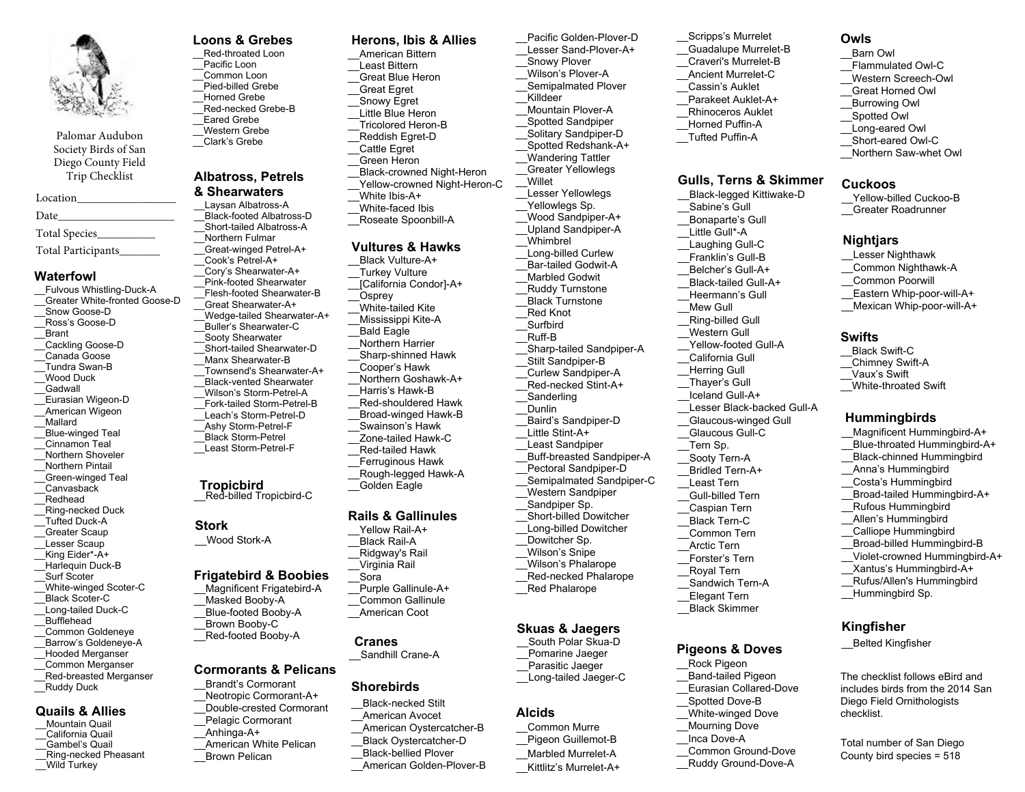

Palomar Audubon Society Birds of San Diego County Field Trip Checklist

 \_\_Fulvous Whistling-Duck-A \_\_Greater White-fronted Goose-D

Location\_\_\_\_\_\_\_\_\_\_\_\_\_\_\_\_\_ Date

Total Species\_\_\_\_\_\_\_\_\_\_ Total Participants\_\_\_\_\_\_\_

**Waterfowl**

\_\_Snow Goose-D \_\_Ross's Goose-D\_\_Brant \_\_Cackling Goose-D-<br>Canada Goose \_\_Tundra Swan-B\_\_Wood Duck\_\_Gadwall \_\_Eurasian Wigeon-D American Wigeon \_\_Mallard \_\_Blue-winged Teal\_\_Cinnamon Teal \_\_Northern Shoveler-<br>Northern Pintail \_\_Green-winged Teal\_\_Canvasback\_\_Redhead \_\_Ring-necked Duck-<br>Tufted Duck-A \_\_Greater Scaup \_\_Lesser Scaup \_\_King Eider\*-A+ \_\_Harlequin Duck-B\_\_Surf Scoter \_\_White-winged Scoter-C \_\_Black Scoter-C \_\_Long-tailed Duck-C \_\_Bufflehead \_\_Common Goldeneye \_\_Barrow's Goldeneye-A \_\_Hooded Merganser \_\_Common Merganser

#### **Loons & Grebes**

- Red-throated Loon \_\_Pacific Loon
- \_\_Common Loon\_\_Pied-billed Grebe
- \_\_Horned Grebe
- \_\_Red-necked Grebe-B \_\_Eared Grebe
- \_\_Western Grebe
- \_\_Clark's Grebe

# **Albatross, Petrels& Shearwaters**

- \_\_Laysan Albatross-A \_\_Black-footed Albatross-D \_\_Short-tailed Albatross-A -<br>Northern Fulmar
- \_\_Great-winged Petrel-A+
- \_\_Cook's Petrel-A+
- \_\_Cory's Shearwater-A+
- \_\_Pink-footed Shearwater
- \_\_Flesh-footed Shearwater-B \_\_Great Shearwater-A+
- \_\_Wedge-tailed Shearwater-A+
- \_\_Buller's Shearwater-C
- \_\_Sooty Shearwater
- \_\_Short-tailed Shearwater-D
- \_\_Manx Shearwater-B
- \_\_Townsend's Shearwater-A+ -<br>Black-vented Shearwater
- \_\_Wilson's Storm-Petrel-A
- \_\_Fork-tailed Storm-Petrel-B
- \_\_Leach's Storm-Petrel-D
- \_\_Ashy Storm-Petrel-F
- \_\_Black Storm-Petrel
- \_\_Least Storm-Petrel-F

# **Tropicbird**

\_\_Red-billed Tropicbird-C

# **Stork**

\_\_Wood Stork-A

## **Frigatebird & Boobies**

- \_\_Magnificent Frigatebird-A
- \_\_Masked Booby-A
- \_\_Blue-footed Booby-A \_\_Brown Booby-C
- \_\_Red-footed Booby-A
- 
- **Cormorants & Pelicans**

Anhinga-A+

 \_\_American White Pelican \_\_Brown Pelican

- \_\_Red-breasted Merganser \_\_Ruddy Duck\_\_Brandt's Cormorant
	- \_\_Neotropic Cormorant-A+

#### \_\_Double-crested Cormorant \_\_Pelagic Cormorant

- \_\_Mountain Quail
- \_\_California Quail
- \_\_Gambel's Quail

**Quails & Allies**

- \_\_Ring-necked Pheasant
- \_\_Wild Turkey

 **Herons, Ibis & Allies**

#### \_\_American Bittern

- Least Bittern
- \_\_Great Blue Heron
- \_\_Great Egret
- \_\_Snowy Egret \_\_Little Blue Heron
- \_\_Tricolored Heron-B
- \_\_Reddish Egret-D
- \_\_Cattle Egret
- \_\_Green Heron
- \_\_Black-crowned Night-Heron
- \_\_Yellow-crowned Night-Heron-C
- \_\_White Ibis-A+
- \_\_White-faced Ibis\_\_Roseate Spoonbill-A

## **Vultures & Hawks**

- \_\_Black Vulture-A+\_\_Turkey Vulture \_\_[California Condor]-A+ \_\_Osprey \_\_White-tailed Kite \_\_Mississippi Kite-A \_\_Bald Eagle \_\_Northern Harrier \_\_Sharp-shinned Hawk \_\_Cooper's Hawk \_\_Northern Goshawk-A+ \_\_Harris's Hawk-B \_\_Red-shouldered Hawk \_\_Broad-winged Hawk-B \_\_Swainson's Hawk\_\_Zone-tailed Hawk-C
- \_\_Red-tailed Hawk
- \_\_Ferruginous Hawk\_\_Rough-legged Hawk-A
- \_\_Golden Eagle

#### **Rails & Gallinules**

- Yellow Rail-A+ \_\_Black Rail-A \_\_Ridgway's Rail\_\_Virginia Rail\_\_Sora\_\_Purple Gallinule-A+
- \_\_Common Gallinule
- \_\_American Coot

# **Cranes**

\_\_Sandhill Crane-A

## **Shorebirds**

 \_\_Black-necked Stilt\_\_American Avocet \_\_American Oystercatcher-B\_\_Black Oystercatcher-D\_\_Black-bellied Plover\_\_American Golden-Plover-B

- Pacific Golden-Plover-D Lesser Sand-Plover-A+ \_\_Snowy Plover \_\_Wilson's Plover-A \_\_Semipalmated Plover\_\_Killdeer \_\_Mountain Plover-A \_\_Spotted Sandpiper \_\_Solitary Sandpiper-D \_\_Spotted Redshank-A+\_\_Wandering Tattler \_\_Greater Yellowlegs\_\_Willet \_\_Lesser YellowlegsYellowlegs Sp. \_\_Wood Sandpiper-A+ \_\_Upland Sandpiper-A\_\_WhimbrelLong-billed Curlew \_\_Bar-tailed Godwit-A\_\_Marbled Godwit\_\_Ruddy Turnstone \_\_Black Turnstone\_\_Red Knot\_\_Surfbird\_\_Ruff-B \_\_Sharp-tailed Sandpiper-A \_\_Stilt Sandpiper-B \_\_Curlew Sandpiper-A \_\_Red-necked Stint-A+**Sanderling** \_\_Dunlin \_\_Baird's Sandpiper-DLittle Stint-A+ \_\_Least Sandpiper \_\_Buff-breasted Sandpiper-A\_\_Pectoral Sandpiper-D \_\_Semipalmated Sandpiper-C \_\_Western SandpiperSandpiper Sp. \_\_Short-billed Dowitcher \_\_Long-billed DowitcherDowitcher Sp. \_\_Wilson's Snipe\_\_Wilson's Phalarope
- \_\_Red-necked Phalarope
- \_\_Red Phalarope

## **Skuas & Jaegers**

 \_\_South Polar Skua-D \_\_Pomarine Jaeger Parasitic Jaeger \_\_Long-tailed Jaeger-C

## **Alcids**

- \_\_Common Murre
- \_\_Pigeon Guillemot-B \_\_Marbled Murrelet-A
- \_\_Kittlitz's Murrelet-A+

\_\_Scripps's Murrelet \_\_Guadalupe Murrelet-B\_\_Craveri's Murrelet-B \_\_Ancient Murrelet-C \_\_Cassin's Auklet \_\_Parakeet Auklet-A+ \_\_Rhinoceros Auklet Horned Puffin-A

#### **Gulls, Terns & Skimmer**

- \_\_Black-legged Kittiwake-D
- \_\_Sabine's Gull
- \_\_Bonaparte's Gull

\_\_Tufted Puffin-A

- Little Gull\*-A
- \_\_Laughing Gull-C\_\_Franklin's Gull-B
- \_\_Belcher's Gull-A+
- \_\_Black-tailed Gull-A+
- \_\_Heermann's Gull
- \_\_Mew Gull
- \_\_Ring-billed Gull
- \_\_Western Gull
- \_\_Yellow-footed Gull-A
- \_\_California Gull

**Pigeons & Doves**\_\_Rock Pigeon \_\_Band-tailed Pigeon \_\_Eurasian Collared-Dove Spotted Dove-B \_\_White-winged Dove\_\_Mourning Dove\_\_Inca Dove-A

 \_\_Common Ground-Dove \_\_Ruddy Ground-Dove-A

 \_\_Lesser Black-backed Gull-A\_\_Glaucous-winged GullGlaucous Gull-C Tern Sp. \_\_Sooty Tern-A \_\_Bridled Tern-A+ \_\_Least Tern \_\_Gull-billed Tern \_\_Caspian Tern \_\_Black Tern-C \_\_Common Tern \_\_Arctic Tern \_\_Forster's Tern \_\_Royal Tern \_\_Sandwich Tern-A \_\_Elegant Tern\_\_Black Skimmer

**Hummingbirds**

**Kingfisher**\_\_Belted Kingfisher

checklist.

The checklist follows eBird and includes birds from the 2014 San Diego Field Ornithologists

Total number of San Diego County bird species = 518

**Cuckoos**

**Nightjars** \_\_Lesser Nighthawk \_\_Common Nighthawk-A\_\_Common Poorwill \_\_Eastern Whip-poor-will-A+ \_\_Mexican Whip-poor-will-A+

**Swifts** \_\_Black Swift-C \_\_Chimney Swift-A \_\_Vaux's Swift\_\_White-throated Swift

**Owls**\_\_Barn Owl

 \_\_Yellow-billed Cuckoo-B \_\_Greater Roadrunner

 \_\_Flammulated Owl-C \_\_Western Screech-Owl \_\_Great Horned Owl\_\_Burrowing Owl\_\_Spotted Owl \_\_Long-eared Owl \_\_Short-eared Owl-C\_\_Northern Saw-whet Owl

 \_\_Magnificent Hummingbird-A+ \_\_Blue-throated Hummingbird-A+ \_\_Black-chinned Hummingbird\_\_Anna's Hummingbird \_\_Costa's Hummingbird \_\_Broad-tailed Hummingbird-A+ \_\_Rufous Hummingbird \_\_Allen's Hummingbird \_\_Calliope Hummingbird \_\_Broad-billed Hummingbird-B \_\_Violet-crowned Hummingbird-A+ \_\_Xantus's Hummingbird-A+ \_\_Rufus/Allen's HummingbirdHummingbird Sp.

- \_\_Herring Gull
- \_\_Thayer's Gull
- \_\_Iceland Gull-A+